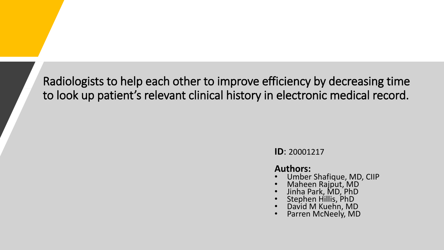Radiologists to help each other to improve efficiency by decreasing time to look up patient's relevant clinical history in electronic medical record.

**ID**: 20001217

### **Authors:**

- Umber Shafique, MD, CIIP
- Maheen Rajput, MD
- Jinha Park, MD, PhD
- Stephen Hillis, PhD
- David M Kuehn, MD
- Parren McNeely, MD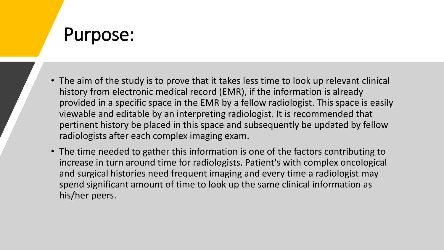### Purpose:

- The aim of the study is to prove that it takes less time to look up relevant clinical history from electronic medical record (EMR), if the information is already provided in a specific space in the EMR by a fellow radiologist. This space is easily viewable and editable by an interpreting radiologist. It is recommended that pertinent history be placed in this space and subsequently be updated by fellow radiologists after each complex imaging exam.
- The time needed to gather this information is one of the factors contributing to increase in turn around time for radiologists. Patient's with complex oncological and surgical histories need frequent imaging and every time a radiologist may spend significant amount of time to look up the same clinical information as his/her peers.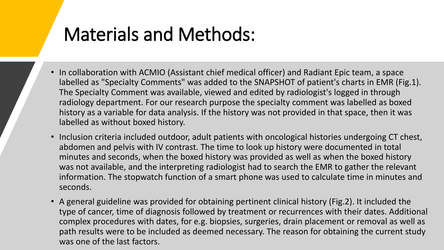# Materials and Methods:

- In collaboration with ACMIO (Assistant chief medical officer) and Radiant Epic team, a space labelled as "Specialty Comments" was added to the SNAPSHOT of patient's charts in EMR (Fig.1). The Specialty Comment was available, viewed and edited by radiologist's logged in through radiology department. For our research purpose the specialty comment was labelled as boxed history as a variable for data analysis. If the history was not provided in that space, then it was labelled as without boxed history.
- Inclusion criteria included outdoor, adult patients with oncological histories undergoing CT chest, abdomen and pelvis with IV contrast. The time to look up history were documented in total minutes and seconds, when the boxed history was provided as well as when the boxed history was not available, and the interpreting radiologist had to search the EMR to gather the relevant information. The stopwatch function of a smart phone was used to calculate time in minutes and seconds.
- A general guideline was provided for obtaining pertinent clinical history (Fig.2). It included the type of cancer, time of diagnosis followed by treatment or recurrences with their dates. Additional complex procedures with dates, for e.g. biopsies, surgeries, drain placement or removal as well as path results were to be included as deemed necessary. The reason for obtaining the current study was one of the last factors.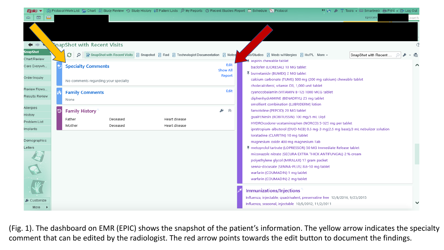| Epic v                                                              | ver Protocol Work List / Chart I Study Review © Study History · E Patient Lists I My Reports © Recent Studies Report in Schedule 2 Protocol | >> → ♪ ↑ Tools → ⊞ Smartweb A Print → B Log Out                                                                                                                                                 |  |  |  |
|---------------------------------------------------------------------|---------------------------------------------------------------------------------------------------------------------------------------------|-------------------------------------------------------------------------------------------------------------------------------------------------------------------------------------------------|--|--|--|
| $\qquad \qquad \blacksquare$<br>$\overline{\Delta \mathbf{b}}$<br>ക |                                                                                                                                             | EpicCare<br>earch                                                                                                                                                                               |  |  |  |
| $\leftarrow$ $\Rightarrow$<br><b>SnapShot</b>                       | <b>VapShot with Recent Visits</b>                                                                                                           |                                                                                                                                                                                                 |  |  |  |
| Chart Review                                                        | G<br>By SnapShot with Recent Visits 2 Snapshot 2 Rad 2 Technologist Documentation 2 Notes<br>Q                                              | S/Studies 国 Meds w/Allergies 国 Hx/PL More +<br>SnapShot with Recent<br>咰<br>Taspirin chewable tablet                                                                                            |  |  |  |
| Care Everywh                                                        | Edit<br><b>Specialty Comments</b><br><b>Show All</b>                                                                                        | ⌒<br>baclofen (LIORESAL) 10 MG tablet<br>∓ bumetanide (BUMEX) 2 MG tablet<br>calcium carbonate (TUMS) 500 mg (200 mg calcium) chewable tablet<br>cholecalciferol, vitamin D3, 1,000 unit tablet |  |  |  |
| Order Inquiry                                                       | Report<br>No comments regarding your specialty                                                                                              |                                                                                                                                                                                                 |  |  |  |
| Review Flows                                                        | Edit<br><b>Family Comments</b>                                                                                                              | cyanocobalamin (VITAMIN B-12) 1000 MCG tablet                                                                                                                                                   |  |  |  |
| Results Review                                                      | None                                                                                                                                        | diphenhydrAMINE (BENADRYL) 25 mg tablet                                                                                                                                                         |  |  |  |
|                                                                     |                                                                                                                                             | emollient combination (LUBRIDERM) lotion                                                                                                                                                        |  |  |  |
| Allergies                                                           | $\rightarrow$ $\sim$<br><b>Family History</b><br>৩                                                                                          | famotidine (PEPCID) 20 MG tablet                                                                                                                                                                |  |  |  |
| History<br>Problem List                                             | Heart disease<br>Father<br>Deceased                                                                                                         | quaiFENesin (ROBITUSSIN) 100 mg/5 mL Liqd                                                                                                                                                       |  |  |  |
| Implants                                                            | Heart disease<br>Mother<br>Deceased                                                                                                         | HYDROcodone-acetaminophen (NORCO) 5-325 mg per tablet<br>ipratropium-albuterol (DUO-NEB) 0.5 mg-3 mg(2.5 mg base)/3 mL nebulizer solution                                                       |  |  |  |
|                                                                     |                                                                                                                                             | loratadine (CLARITIN) 10 mg tablet                                                                                                                                                              |  |  |  |
| Demographics                                                        |                                                                                                                                             | magnesium oxide 400 mg magnesium Tab                                                                                                                                                            |  |  |  |
| Letters                                                             |                                                                                                                                             | ₮ metoprolol tartrate (LOPRESSOR) 50 MG Immediate Release tablet                                                                                                                                |  |  |  |
|                                                                     |                                                                                                                                             | miconazole nitrate (SECURA EXTRA THICK ANTIFUNGAL) 2 % cream                                                                                                                                    |  |  |  |
|                                                                     |                                                                                                                                             | polyethylene glycol (MIRALAX) 17 gram packet                                                                                                                                                    |  |  |  |
|                                                                     |                                                                                                                                             | senna-docusate (SENNA-PLUS) 8.6-50 mg tablet<br>warfarin (COUMADIN) 1 mg tablet                                                                                                                 |  |  |  |
|                                                                     |                                                                                                                                             | warfarin (COUMADIN) 2 mg tablet                                                                                                                                                                 |  |  |  |
|                                                                     |                                                                                                                                             | <b>Immunizations/Injections</b>                                                                                                                                                                 |  |  |  |
| € Customize                                                         |                                                                                                                                             | Influenza, injectable, quadrivalent, preservative free 12/8/2016, 9/25/2015                                                                                                                     |  |  |  |
| More $\rightarrow$                                                  |                                                                                                                                             | Influenza, seasonal, injectable 10/5/2012, 11/2/2011                                                                                                                                            |  |  |  |

(Fig. 1). The dashboard on EMR (EPIC) shows the snapshot of the patient's information. The yellow arrow indicates the specialty comment that can be edited by the radiologist. The red arrow points towards the edit button to document the findings.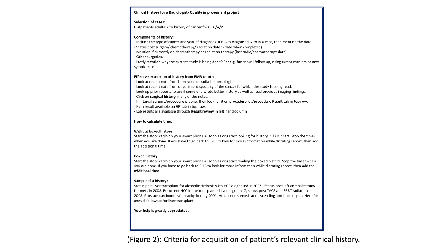#### Clinical History for a Radiologist- Quality improvement project

#### **Selection of cases:**

Outpatients adults with history of cancer for CT C/A/P.

#### **Components of history:**

- Include the type of cancer and year of diagnoses. If it was diagnosed with in a year, then mention the date.

- Status post surgery/ chemotherapy/ radiation dated (date when completed).

- Mention if currently on chemotherapy or radiation therapy (last radio/chemotherapy date).

- Other surgeries.

- Lastly mention why the current study is being done? For e.g. for annual follow up, rising tumor markers or new symptoms etc.

#### **Effective extraction of history from EMR charts:**

- Look at recent note from heme/onc or radiation oncologist.

- Look at recent note from department specialty of the cancer for which the study is being read.

- Look up prior reports to see if some one wrote better history as well as read previous imaging findings.

- Click on surgical history in any of the notes. - If interval surgery/procedure is done, then look for it on procedure log/procedure Result tab in top row.

- Path result available on AP tab in top row.

- Lab results are available through Result review in left hand column.

#### How to calculate time:

#### Without boxed history:

Start the stop watch on your smart phone as soon as you start looking for history in EPIC chart. Stop the timer when you are done. If you have to go back to EPIC to look for more information while dictating report, then add the additional time.

#### **Boxed history:**

Start the stop watch on your smart phone as soon as you start reading the boxed history. Stop the timer when you are done. If you have to go back to EPIC to look for more information while dictating report, then add the additional time.

#### Sample of a history:

Status post liver transplant for alcoholic cirrhosis with HCC diagnosed in 2007. Status post left adrenalectomy for mets in 2008. Recurrent HCC in the transplanted liver segment 7, status post TACE and SBRT radiation in 2008. Prostate carcinoma s/p brachytherapy 2004. Htn, aortic stenosis and ascending aortic aneurysm. Here for annual follow up for liver transplant.

Your help is greatly appreciated.

(Figure 2): Criteria for acquisition of patient's relevant clinical history.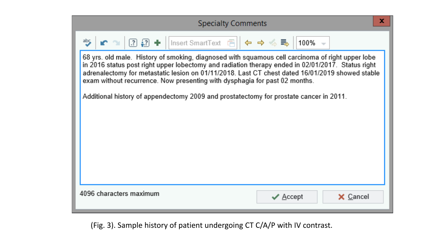| <b>Specialty Comments</b>                                                                                                                                                                                                                                                                                                                                                              |  |  |  |  |  |  |  |  |
|----------------------------------------------------------------------------------------------------------------------------------------------------------------------------------------------------------------------------------------------------------------------------------------------------------------------------------------------------------------------------------------|--|--|--|--|--|--|--|--|
| $\frac{ab\zeta}{2}$                                                                                                                                                                                                                                                                                                                                                                    |  |  |  |  |  |  |  |  |
| 68 yrs. old male. History of smoking, diagnosed with squamous cell carcinoma of right upper lobe<br>in 2016 status post right upper lobectomy and radiation therapy ended in 02/01/2017. Status right<br>adrenalectomy for metastatic lesion on 01/11/2018. Last CT chest dated 16/01/2019 showed stable<br>exam without recurrence. Now presenting with dysphagia for past 02 months. |  |  |  |  |  |  |  |  |
| Additional history of appendectomy 2009 and prostatectomy for prostate cancer in 2011.                                                                                                                                                                                                                                                                                                 |  |  |  |  |  |  |  |  |
|                                                                                                                                                                                                                                                                                                                                                                                        |  |  |  |  |  |  |  |  |
|                                                                                                                                                                                                                                                                                                                                                                                        |  |  |  |  |  |  |  |  |
|                                                                                                                                                                                                                                                                                                                                                                                        |  |  |  |  |  |  |  |  |
|                                                                                                                                                                                                                                                                                                                                                                                        |  |  |  |  |  |  |  |  |

(Fig. 3). Sample history of patient undergoing CT C/A/P with IV contrast.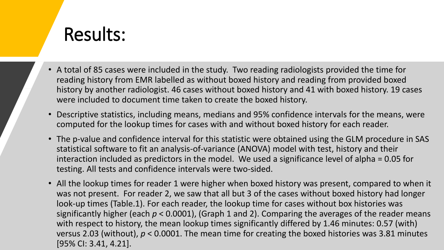# Results:

- A total of 85 cases were included in the study. Two reading radiologists provided the time for reading history from EMR labelled as without boxed history and reading from provided boxed history by another radiologist. 46 cases without boxed history and 41 with boxed history. 19 cases were included to document time taken to create the boxed history.
- Descriptive statistics, including means, medians and 95% confidence intervals for the means, were computed for the lookup times for cases with and without boxed history for each reader.
- The p-value and confidence interval for this statistic were obtained using the GLM procedure in SAS statistical software to fit an analysis-of-variance (ANOVA) model with test, history and their interaction included as predictors in the model. We used a significance level of alpha = 0.05 for testing. All tests and confidence intervals were two-sided.
- All the lookup times for reader 1 were higher when boxed history was present, compared to when it was not present. For reader 2, we saw that all but 3 of the cases without boxed history had longer look-up times (Table.1). For each reader, the lookup time for cases without box histories was significantly higher (each *p* < 0.0001), (Graph 1 and 2). Comparing the averages of the reader means with respect to history, the mean lookup times significantly differed by 1.46 minutes: 0.57 (with) versus 2.03 (without), *p* < 0.0001. The mean time for creating the boxed histories was 3.81 minutes [95% CI: 3.41, 4.21].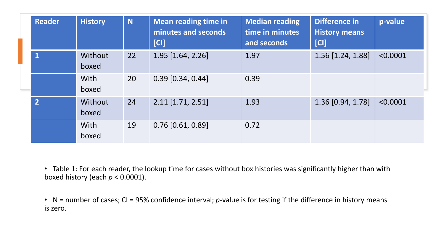| <b>Reader</b>  | <b>History</b>       | N  | <b>Mean reading time in</b><br>minutes and seconds<br>[CI] | <b>Median reading</b><br>time in minutes<br>and seconds | Difference in<br><b>History means</b><br>[CI] | p-value  |
|----------------|----------------------|----|------------------------------------------------------------|---------------------------------------------------------|-----------------------------------------------|----------|
| $\mathbf 1$    | Without<br>boxed     | 22 | $1.95$ [1.64, 2.26]                                        | 1.97                                                    | 1.56 [1.24, 1.88]                             | < 0.0001 |
|                | <b>With</b><br>boxed | 20 | $0.39$ [0.34, 0.44]                                        | 0.39                                                    |                                               |          |
| $\overline{2}$ | Without<br>boxed     | 24 | $2.11$ [1.71, 2.51]                                        | 1.93                                                    | 1.36 [0.94, 1.78]                             | < 0.0001 |
|                | <b>With</b><br>boxed | 19 | $0.76$ [0.61, 0.89]                                        | 0.72                                                    |                                               |          |

• Table 1: For each reader, the lookup time for cases without box histories was significantly higher than with boxed history (each *p* < 0.0001).

• N = number of cases; CI = 95% confidence interval; *p*-value is for testing if the difference in history means is zero.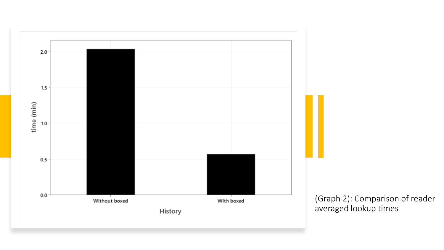

(Graph 2): Comparison of reader averaged lookup times